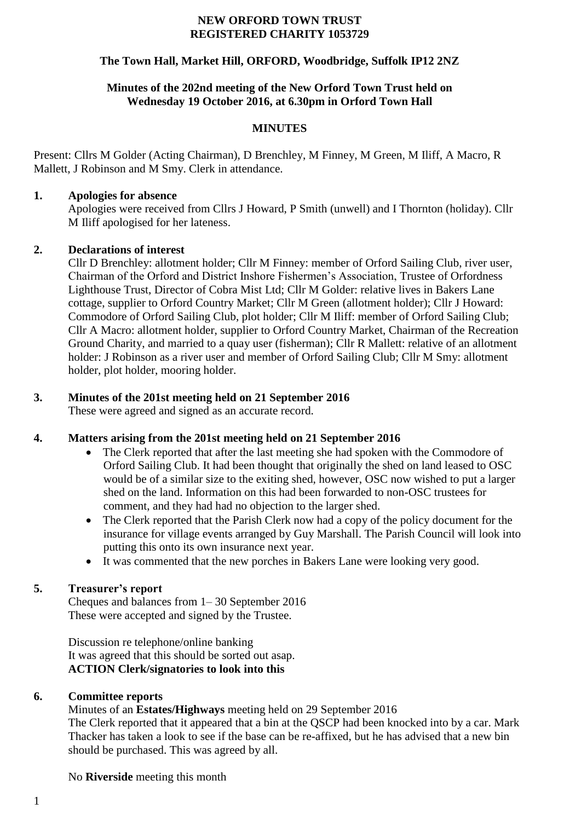#### **NEW ORFORD TOWN TRUST REGISTERED CHARITY 1053729**

## **The Town Hall, Market Hill, ORFORD, Woodbridge, Suffolk IP12 2NZ**

#### **Minutes of the 202nd meeting of the New Orford Town Trust held on Wednesday 19 October 2016, at 6.30pm in Orford Town Hall**

#### **MINUTES**

Present: Cllrs M Golder (Acting Chairman), D Brenchley, M Finney, M Green, M Iliff, A Macro, R Mallett, J Robinson and M Smy. Clerk in attendance.

#### **1. Apologies for absence**

Apologies were received from Cllrs J Howard, P Smith (unwell) and I Thornton (holiday). Cllr M Iliff apologised for her lateness.

#### **2. Declarations of interest**

Cllr D Brenchley: allotment holder; Cllr M Finney: member of Orford Sailing Club, river user, Chairman of the Orford and District Inshore Fishermen's Association, Trustee of Orfordness Lighthouse Trust, Director of Cobra Mist Ltd; Cllr M Golder: relative lives in Bakers Lane cottage, supplier to Orford Country Market; Cllr M Green (allotment holder); Cllr J Howard: Commodore of Orford Sailing Club, plot holder; Cllr M Iliff: member of Orford Sailing Club; Cllr A Macro: allotment holder, supplier to Orford Country Market, Chairman of the Recreation Ground Charity, and married to a quay user (fisherman); Cllr R Mallett: relative of an allotment holder: J Robinson as a river user and member of Orford Sailing Club; Cllr M Smy: allotment holder, plot holder, mooring holder.

## **3. Minutes of the 201st meeting held on 21 September 2016**

These were agreed and signed as an accurate record.

## **4. Matters arising from the 201st meeting held on 21 September 2016**

- The Clerk reported that after the last meeting she had spoken with the Commodore of Orford Sailing Club. It had been thought that originally the shed on land leased to OSC would be of a similar size to the exiting shed, however, OSC now wished to put a larger shed on the land. Information on this had been forwarded to non-OSC trustees for comment, and they had had no objection to the larger shed.
- The Clerk reported that the Parish Clerk now had a copy of the policy document for the insurance for village events arranged by Guy Marshall. The Parish Council will look into putting this onto its own insurance next year.
- It was commented that the new porches in Bakers Lane were looking very good.

## **5. Treasurer's report**

Cheques and balances from 1– 30 September 2016 These were accepted and signed by the Trustee.

Discussion re telephone/online banking It was agreed that this should be sorted out asap. **ACTION Clerk/signatories to look into this**

## **6. Committee reports**

Minutes of an **Estates/Highways** meeting held on 29 September 2016 The Clerk reported that it appeared that a bin at the QSCP had been knocked into by a car. Mark Thacker has taken a look to see if the base can be re-affixed, but he has advised that a new bin should be purchased. This was agreed by all.

No **Riverside** meeting this month